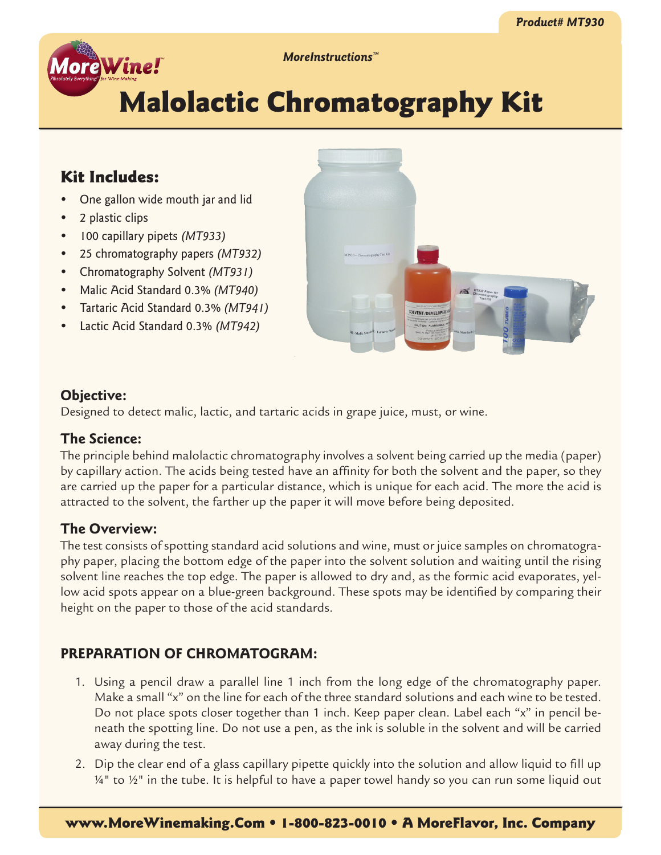

*MoreInstructions™*

# Malolactic Chromatography Kit

## Kit Includes:

- One gallon wide mouth jar and lid
- 2 plastic clips
- • 100 capillary pipets *(MT933)*
- • 25 chromatography papers *(MT932)*
- • Chromatography Solvent *(MT931)*
- • Malic Acid Standard 0.3% *(MT940)*
- • Tartaric Acid Standard 0.3% *(MT941)*
- • Lactic Acid Standard 0.3% *(MT942)*



## **Objective:**

Designed to detect malic, lactic, and tartaric acids in grape juice, must, or wine.

## **The Science:**

The principle behind malolactic chromatography involves a solvent being carried up the media (paper) by capillary action. The acids being tested have an affinity for both the solvent and the paper, so they are carried up the paper for a particular distance, which is unique for each acid. The more the acid is attracted to the solvent, the farther up the paper it will move before being deposited.

## **The Overview:**

The test consists of spotting standard acid solutions and wine, must or juice samples on chromatography paper, placing the bottom edge of the paper into the solvent solution and waiting until the rising solvent line reaches the top edge. The paper is allowed to dry and, as the formic acid evaporates, yellow acid spots appear on a blue-green background. These spots may be identified by comparing their height on the paper to those of the acid standards.

## **PREPARATION OF CHROMATOGRAM:**

- 1. Using a pencil draw a parallel line 1 inch from the long edge of the chromatography paper. Make a small "x" on the line for each of the three standard solutions and each wine to be tested. Do not place spots closer together than 1 inch. Keep paper clean. Label each "x" in pencil beneath the spotting line. Do not use a pen, as the ink is soluble in the solvent and will be carried away during the test.
- 2. Dip the clear end of a glass capillary pipette quickly into the solution and allow liquid to fill up  $14"$  to  $12"$  in the tube. It is helpful to have a paper towel handy so you can run some liquid out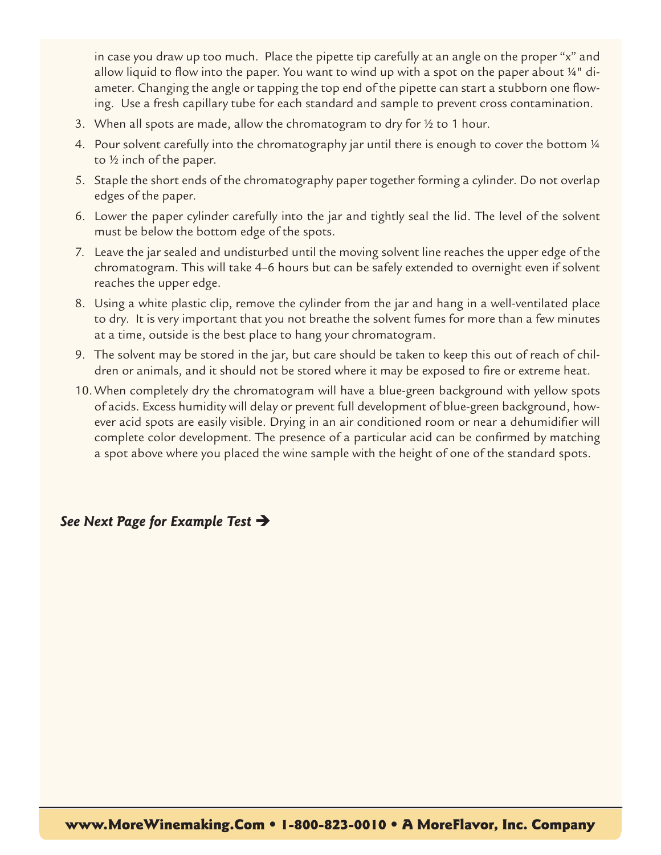in case you draw up too much. Place the pipette tip carefully at an angle on the proper "x" and allow liquid to flow into the paper. You want to wind up with a spot on the paper about  $4^{\circ}$  diameter. Changing the angle or tapping the top end of the pipette can start a stubborn one flowing. Use a fresh capillary tube for each standard and sample to prevent cross contamination.

- 3. When all spots are made, allow the chromatogram to dry for  $\frac{1}{2}$  to 1 hour.
- 4. Pour solvent carefully into the chromatography jar until there is enough to cover the bottom 1/4 to ½ inch of the paper.
- 5. Staple the short ends of the chromatography paper together forming a cylinder. Do not overlap edges of the paper.
- 6. Lower the paper cylinder carefully into the jar and tightly seal the lid. The level of the solvent must be below the bottom edge of the spots.
- 7. Leave the jar sealed and undisturbed until the moving solvent line reaches the upper edge of the chromatogram. This will take 4–6 hours but can be safely extended to overnight even if solvent reaches the upper edge.
- 8. Using a white plastic clip, remove the cylinder from the jar and hang in a well-ventilated place to dry. It is very important that you not breathe the solvent fumes for more than a few minutes at a time, outside is the best place to hang your chromatogram.
- 9. The solvent may be stored in the jar, but care should be taken to keep this out of reach of children or animals, and it should not be stored where it may be exposed to fire or extreme heat.
- 10. When completely dry the chromatogram will have a blue-green background with yellow spots of acids. Excess humidity will delay or prevent full development of blue-green background, however acid spots are easily visible. Drying in an air conditioned room or near a dehumidifier will complete color development. The presence of a particular acid can be confirmed by matching a spot above where you placed the wine sample with the height of one of the standard spots.

## *See Next Page for Example Test*